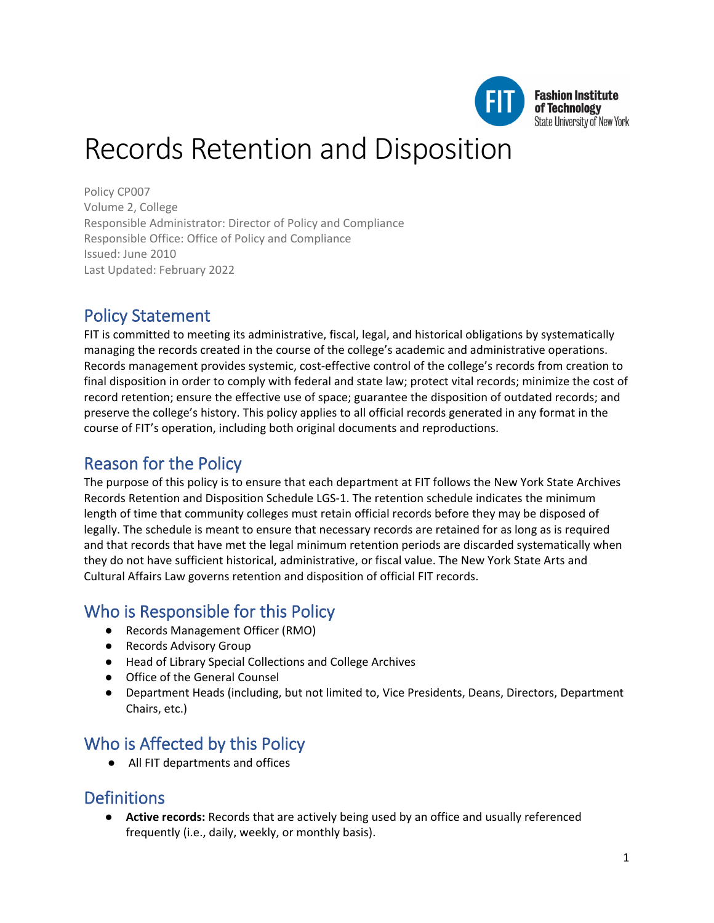

# Records Retention and Disposition

Policy CP007 Volume 2, College Responsible Administrator: Director of Policy and Compliance Responsible Office: Office of Policy and Compliance Issued: June 2010 Last Updated: February 2022

# Policy Statement

FIT is committed to meeting its administrative, fiscal, legal, and historical obligations by systematically managing the records created in the course of the college's academic and administrative operations. Records management provides systemic, cost-effective control of the college's records from creation to final disposition in order to comply with federal and state law; protect vital records; minimize the cost of record retention; ensure the effective use of space; guarantee the disposition of outdated records; and preserve the college's history. This policy applies to all official records generated in any format in the course of FIT's operation, including both original documents and reproductions.

# Reason for the Policy

The purpose of this policy is to ensure that each department at FIT follows the New York State Archives Records Retention and Disposition Schedule LGS-1. The retention schedule indicates the minimum length of time that community colleges must retain official records before they may be disposed of legally. The schedule is meant to ensure that necessary records are retained for as long as is required and that records that have met the legal minimum retention periods are discarded systematically when they do not have sufficient historical, administrative, or fiscal value. The New York State Arts and Cultural Affairs Law governs retention and disposition of official FIT records.

# Who is Responsible for this Policy

- Records Management Officer (RMO)
- Records Advisory Group
- Head of Library Special Collections and College Archives
- Office of the General Counsel
- Department Heads (including, but not limited to, Vice Presidents, Deans, Directors, Department Chairs, etc.)

# Who is Affected by this Policy

● All FIT departments and offices

# **Definitions**

● **Active records:** Records that are actively being used by an office and usually referenced frequently (i.e., daily, weekly, or monthly basis).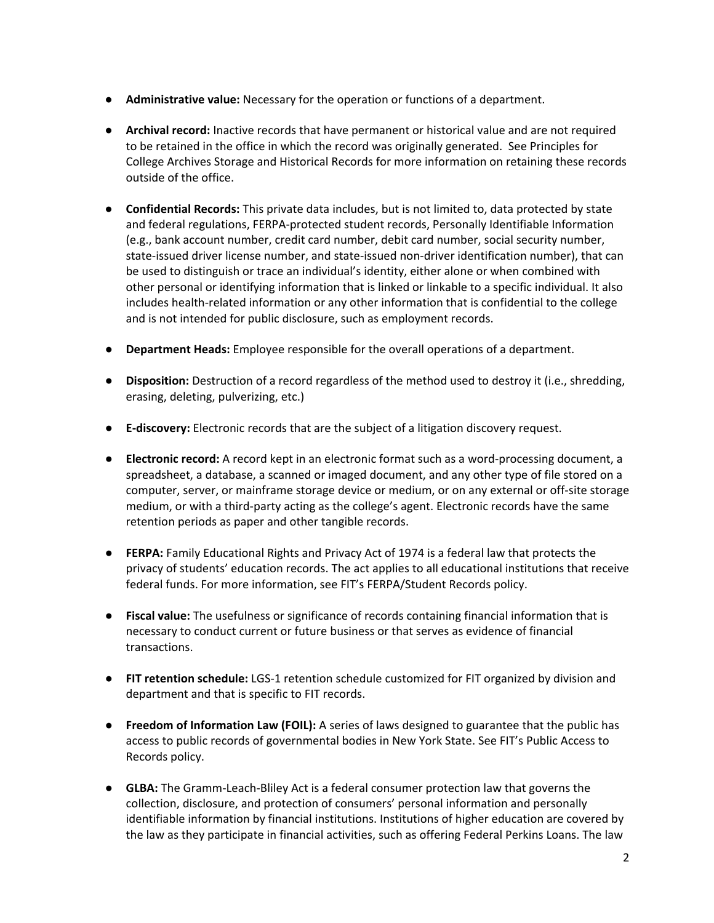- **Administrative value:** Necessary for the operation or functions of a department.
- **Archival record:** Inactive records that have permanent or historical value and are not required to be retained in the office in which the record was originally generated. See Principles for College Archives Storage and Historical Records for more information on retaining these records outside of the office.
- **Confidential Records:** This private data includes, but is not limited to, data protected by state and federal regulations, FERPA-protected student records, Personally Identifiable Information (e.g., bank account number, credit card number, debit card number, social security number, state-issued driver license number, and state-issued non-driver identification number), that can be used to distinguish or trace an individual's identity, either alone or when combined with other personal or identifying information that is linked or linkable to a specific individual. It also includes health-related information or any other information that is confidential to the college and is not intended for public disclosure, such as employment records.
- **Department Heads:** Employee responsible for the overall operations of a department.
- **Disposition:** Destruction of a record regardless of the method used to destroy it (i.e., shredding, erasing, deleting, pulverizing, etc.)
- **E-discovery:** Electronic records that are the subject of a litigation discovery request.
- **Electronic record:** A record kept in an electronic format such as a word-processing document, a spreadsheet, a database, a scanned or imaged document, and any other type of file stored on a computer, server, or mainframe storage device or medium, or on any external or off-site storage medium, or with a third-party acting as the college's agent. Electronic records have the same retention periods as paper and other tangible records.
- **FERPA:** Family Educational Rights and Privacy Act of 1974 is a federal law that protects the privacy of students' education records. The act applies to all educational institutions that receive federal funds. For more information, see FIT's FERPA/Student Records policy.
- **Fiscal value:** The usefulness or significance of records containing financial information that is necessary to conduct current or future business or that serves as evidence of financial transactions.
- **FIT retention schedule:** LGS-1 retention schedule customized for FIT organized by division and department and that is specific to FIT records.
- **Freedom of Information Law (FOIL):** A series of laws designed to guarantee that the public has access to public records of governmental bodies in New York State. See FIT's Public Access to Records policy.
- **GLBA:** The Gramm-Leach-Bliley Act is a federal consumer protection law that governs the collection, disclosure, and protection of consumers' personal information and personally identifiable information by financial institutions. Institutions of higher education are covered by the law as they participate in financial activities, such as offering Federal Perkins Loans. The law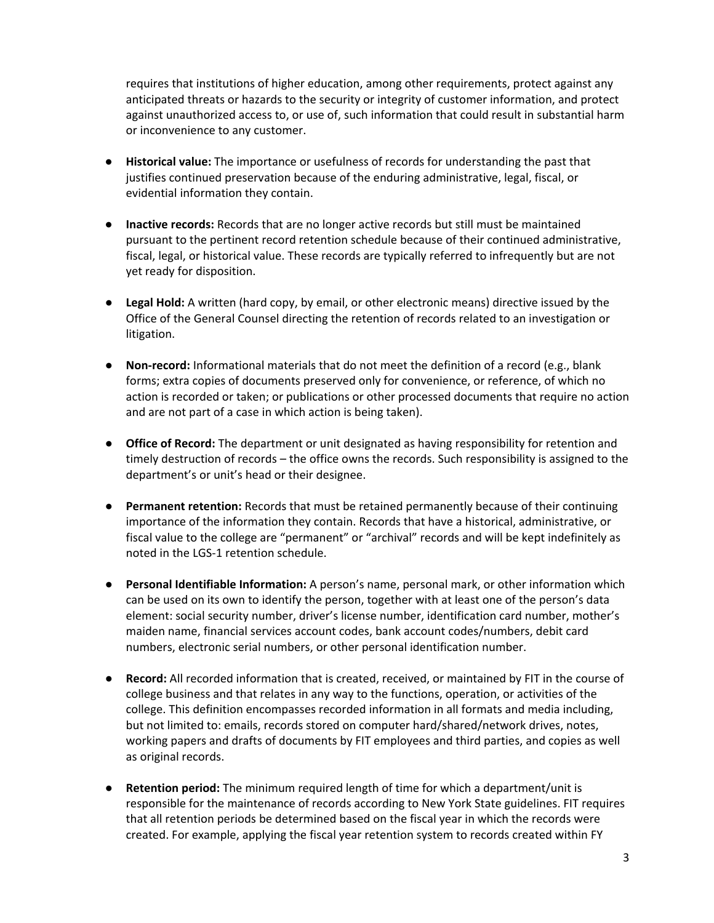requires that institutions of higher education, among other requirements, protect against any anticipated threats or hazards to the security or integrity of customer information, and protect against unauthorized access to, or use of, such information that could result in substantial harm or inconvenience to any customer.

- **Historical value:** The importance or usefulness of records for understanding the past that justifies continued preservation because of the enduring administrative, legal, fiscal, or evidential information they contain.
- **Inactive records:** Records that are no longer active records but still must be maintained pursuant to the pertinent record retention schedule because of their continued administrative, fiscal, legal, or historical value. These records are typically referred to infrequently but are not yet ready for disposition.
- **Legal Hold:** A written (hard copy, by email, or other electronic means) directive issued by the Office of the General Counsel directing the retention of records related to an investigation or litigation.
- **Non-record:** Informational materials that do not meet the definition of a record (e.g., blank forms; extra copies of documents preserved only for convenience, or reference, of which no action is recorded or taken; or publications or other processed documents that require no action and are not part of a case in which action is being taken).
- **Office of Record:** The department or unit designated as having responsibility for retention and timely destruction of records – the office owns the records. Such responsibility is assigned to the department's or unit's head or their designee.
- **Permanent retention:** Records that must be retained permanently because of their continuing importance of the information they contain. Records that have a historical, administrative, or fiscal value to the college are "permanent" or "archival" records and will be kept indefinitely as noted in the LGS-1 retention schedule.
- **Personal Identifiable Information:** A person's name, personal mark, or other information which can be used on its own to identify the person, together with at least one of the person's data element: social security number, driver's license number, identification card number, mother's maiden name, financial services account codes, bank account codes/numbers, debit card numbers, electronic serial numbers, or other personal identification number.
- **Record:** All recorded information that is created, received, or maintained by FIT in the course of college business and that relates in any way to the functions, operation, or activities of the college. This definition encompasses recorded information in all formats and media including, but not limited to: emails, records stored on computer hard/shared/network drives, notes, working papers and drafts of documents by FIT employees and third parties, and copies as well as original records.
- **Retention period:** The minimum required length of time for which a department/unit is responsible for the maintenance of records according to New York State guidelines. FIT requires that all retention periods be determined based on the fiscal year in which the records were created. For example, applying the fiscal year retention system to records created within FY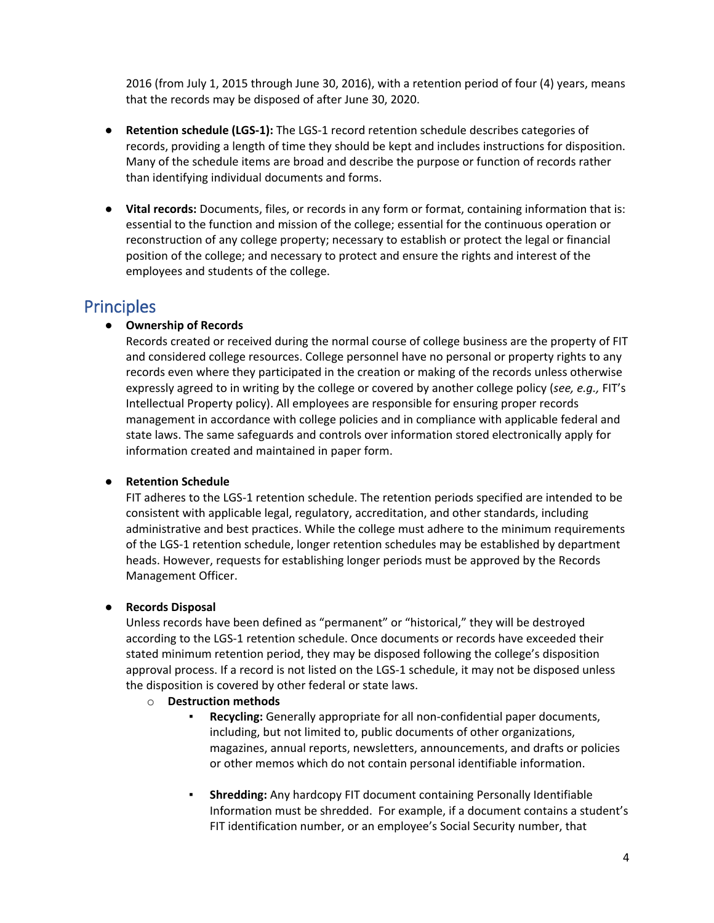2016 (from July 1, 2015 through June 30, 2016), with a retention period of four (4) years, means that the records may be disposed of after June 30, 2020.

- **Retention schedule (LGS-1):** The LGS-1 record retention schedule describes categories of records, providing a length of time they should be kept and includes instructions for disposition. Many of the schedule items are broad and describe the purpose or function of records rather than identifying individual documents and forms.
- **Vital records:** Documents, files, or records in any form or format, containing information that is: essential to the function and mission of the college; essential for the continuous operation or reconstruction of any college property; necessary to establish or protect the legal or financial position of the college; and necessary to protect and ensure the rights and interest of the employees and students of the college.

## **Principles**

### ● **Ownership of Records**

Records created or received during the normal course of college business are the property of FIT and considered college resources. College personnel have no personal or property rights to any records even where they participated in the creation or making of the records unless otherwise expressly agreed to in writing by the college or covered by another college policy (*see, e.g.,* FIT's Intellectual Property policy). All employees are responsible for ensuring proper records management in accordance with college policies and in compliance with applicable federal and state laws. The same safeguards and controls over information stored electronically apply for information created and maintained in paper form.

### ● **Retention Schedule**

FIT adheres to the LGS-1 retention schedule. The retention periods specified are intended to be consistent with applicable legal, regulatory, accreditation, and other standards, including administrative and best practices. While the college must adhere to the minimum requirements of the LGS-1 retention schedule, longer retention schedules may be established by department heads. However, requests for establishing longer periods must be approved by the Records Management Officer.

### ● **Records Disposal**

Unless records have been defined as "permanent" or "historical," they will be destroyed according to the LGS-1 retention schedule. Once documents or records have exceeded their stated minimum retention period, they may be disposed following the college's disposition approval process. If a record is not listed on the LGS-1 schedule, it may not be disposed unless the disposition is covered by other federal or state laws.

#### o **Destruction methods**

- Recycling: Generally appropriate for all non-confidential paper documents, including, but not limited to, public documents of other organizations, magazines, annual reports, newsletters, announcements, and drafts or policies or other memos which do not contain personal identifiable information.
- **Shredding:** Any hardcopy FIT document containing Personally Identifiable Information must be shredded. For example, if a document contains a student's FIT identification number, or an employee's Social Security number, that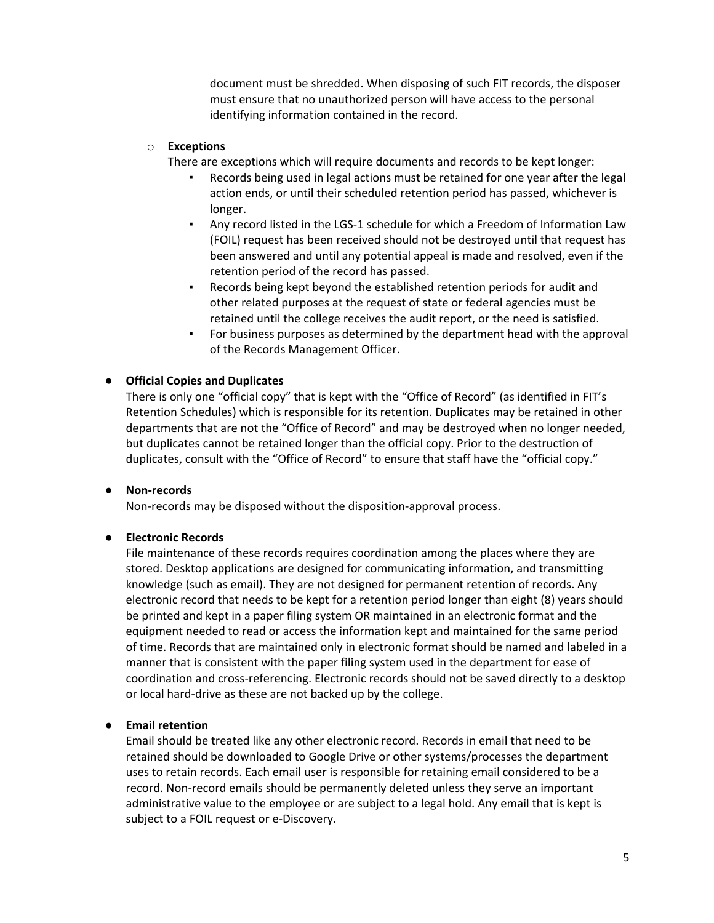document must be shredded. When disposing of such FIT records, the disposer must ensure that no unauthorized person will have access to the personal identifying information contained in the record.

#### o **Exceptions**

There are exceptions which will require documents and records to be kept longer:

- Records being used in legal actions must be retained for one year after the legal action ends, or until their scheduled retention period has passed, whichever is longer.
- Any record listed in the LGS-1 schedule for which a Freedom of Information Law (FOIL) request has been received should not be destroyed until that request has been answered and until any potential appeal is made and resolved, even if the retention period of the record has passed.
- Records being kept beyond the established retention periods for audit and other related purposes at the request of state or federal agencies must be retained until the college receives the audit report, or the need is satisfied.
- For business purposes as determined by the department head with the approval of the Records Management Officer.

#### ● **Official Copies and Duplicates**

There is only one "official copy" that is kept with the "Office of Record" (as identified in FIT's Retention Schedules) which is responsible for its retention. Duplicates may be retained in other departments that are not the "Office of Record" and may be destroyed when no longer needed, but duplicates cannot be retained longer than the official copy. Prior to the destruction of duplicates, consult with the "Office of Record" to ensure that staff have the "official copy."

#### ● **Non-records**

Non-records may be disposed without the disposition-approval process.

#### ● **Electronic Records**

File maintenance of these records requires coordination among the places where they are stored. Desktop applications are designed for communicating information, and transmitting knowledge (such as email). They are not designed for permanent retention of records. Any electronic record that needs to be kept for a retention period longer than eight (8) years should be printed and kept in a paper filing system OR maintained in an electronic format and the equipment needed to read or access the information kept and maintained for the same period of time. Records that are maintained only in electronic format should be named and labeled in a manner that is consistent with the paper filing system used in the department for ease of coordination and cross-referencing. Electronic records should not be saved directly to a desktop or local hard-drive as these are not backed up by the college.

#### ● **Email retention**

Email should be treated like any other electronic record. Records in email that need to be retained should be downloaded to Google Drive or other systems/processes the department uses to retain records. Each email user is responsible for retaining email considered to be a record. Non-record emails should be permanently deleted unless they serve an important administrative value to the employee or are subject to a legal hold. Any email that is kept is subject to a FOIL request or e-Discovery.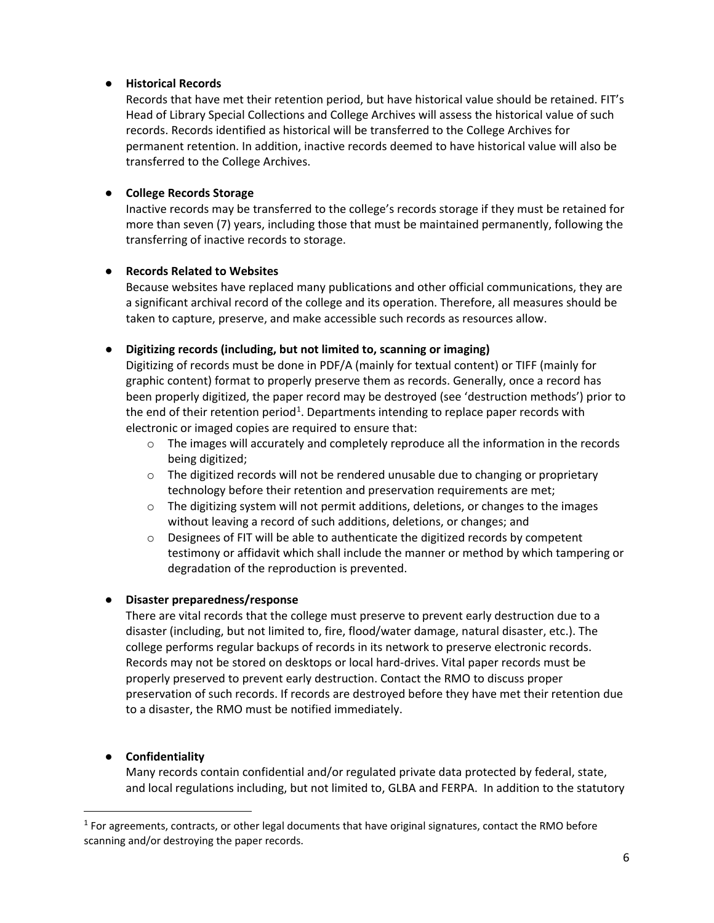### ● **Historical Records**

Records that have met their retention period, but have historical value should be retained. FIT's Head of Library Special Collections and College Archives will assess the historical value of such records. Records identified as historical will be transferred to the College Archives for permanent retention. In addition, inactive records deemed to have historical value will also be transferred to the College Archives.

### ● **College Records Storage**

Inactive records may be transferred to the college's records storage if they must be retained for more than seven (7) years, including those that must be maintained permanently, following the transferring of inactive records to storage.

#### ● **Records Related to Websites**

Because websites have replaced many publications and other official communications, they are a significant archival record of the college and its operation. Therefore, all measures should be taken to capture, preserve, and make accessible such records as resources allow.

#### ● **Digitizing records (including, but not limited to, scanning or imaging)**

Digitizing of records must be done in PDF/A (mainly for textual content) or TIFF (mainly for graphic content) format to properly preserve them as records. Generally, once a record has been properly digitized, the paper record may be destroyed (see 'destruction methods') prior to the end of their retention period<sup>[1](#page-5-0)</sup>. Departments intending to replace paper records with electronic or imaged copies are required to ensure that:

- $\circ$  The images will accurately and completely reproduce all the information in the records being digitized;
- o The digitized records will not be rendered unusable due to changing or proprietary technology before their retention and preservation requirements are met;
- $\circ$  The digitizing system will not permit additions, deletions, or changes to the images without leaving a record of such additions, deletions, or changes; and
- o Designees of FIT will be able to authenticate the digitized records by competent testimony or affidavit which shall include the manner or method by which tampering or degradation of the reproduction is prevented.

#### ● **Disaster preparedness/response**

There are vital records that the college must preserve to prevent early destruction due to a disaster (including, but not limited to, fire, flood/water damage, natural disaster, etc.). The college performs regular backups of records in its network to preserve electronic records. Records may not be stored on desktops or local hard-drives. Vital paper records must be properly preserved to prevent early destruction. Contact the RMO to discuss proper preservation of such records. If records are destroyed before they have met their retention due to a disaster, the RMO must be notified immediately.

### ● **Confidentiality**

Many records contain confidential and/or regulated private data protected by federal, state, and local regulations including, but not limited to, GLBA and FERPA. In addition to the statutory

<span id="page-5-0"></span> $<sup>1</sup>$  For agreements, contracts, or other legal documents that have original signatures, contact the RMO before</sup> scanning and/or destroying the paper records.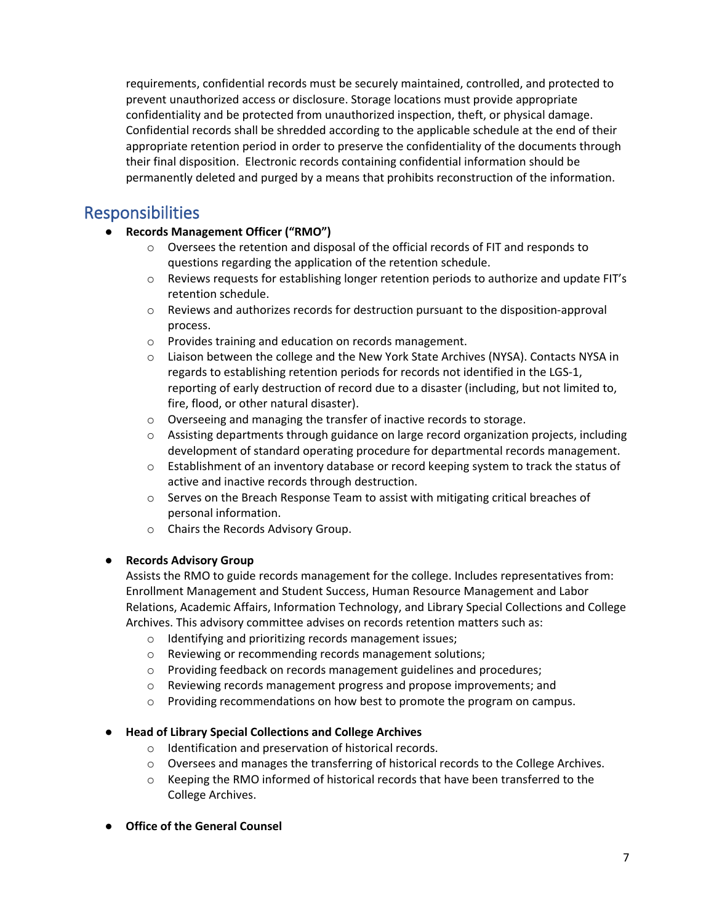requirements, confidential records must be securely maintained, controlled, and protected to prevent unauthorized access or disclosure. Storage locations must provide appropriate confidentiality and be protected from unauthorized inspection, theft, or physical damage. Confidential records shall be shredded according to the applicable schedule at the end of their appropriate retention period in order to preserve the confidentiality of the documents through their final disposition. Electronic records containing confidential information should be permanently deleted and purged by a means that prohibits reconstruction of the information.

# Responsibilities

- **Records Management Officer ("RMO")**
	- $\circ$  Oversees the retention and disposal of the official records of FIT and responds to questions regarding the application of the retention schedule.
	- o Reviews requests for establishing longer retention periods to authorize and update FIT's retention schedule.
	- $\circ$  Reviews and authorizes records for destruction pursuant to the disposition-approval process.
	- o Provides training and education on records management.
	- o Liaison between the college and the New York State Archives (NYSA). Contacts NYSA in regards to establishing retention periods for records not identified in the LGS-1, reporting of early destruction of record due to a disaster (including, but not limited to, fire, flood, or other natural disaster).
	- o Overseeing and managing the transfer of inactive records to storage.
	- $\circ$  Assisting departments through guidance on large record organization projects, including development of standard operating procedure for departmental records management.
	- o Establishment of an inventory database or record keeping system to track the status of active and inactive records through destruction.
	- o Serves on the Breach Response Team to assist with mitigating critical breaches of personal information.
	- o Chairs the Records Advisory Group.

### ● **Records Advisory Group**

Assists the RMO to guide records management for the college. Includes representatives from: Enrollment Management and Student Success, Human Resource Management and Labor Relations, Academic Affairs, Information Technology, and Library Special Collections and College Archives. This advisory committee advises on records retention matters such as:

- o Identifying and prioritizing records management issues;
- o Reviewing or recommending records management solutions;
- $\circ$  Providing feedback on records management guidelines and procedures;
- o Reviewing records management progress and propose improvements; and
- $\circ$  Providing recommendations on how best to promote the program on campus.

### ● **Head of Library Special Collections and College Archives**

- o Identification and preservation of historical records.
- $\circ$  Oversees and manages the transferring of historical records to the College Archives.
- $\circ$  Keeping the RMO informed of historical records that have been transferred to the College Archives.
- **Office of the General Counsel**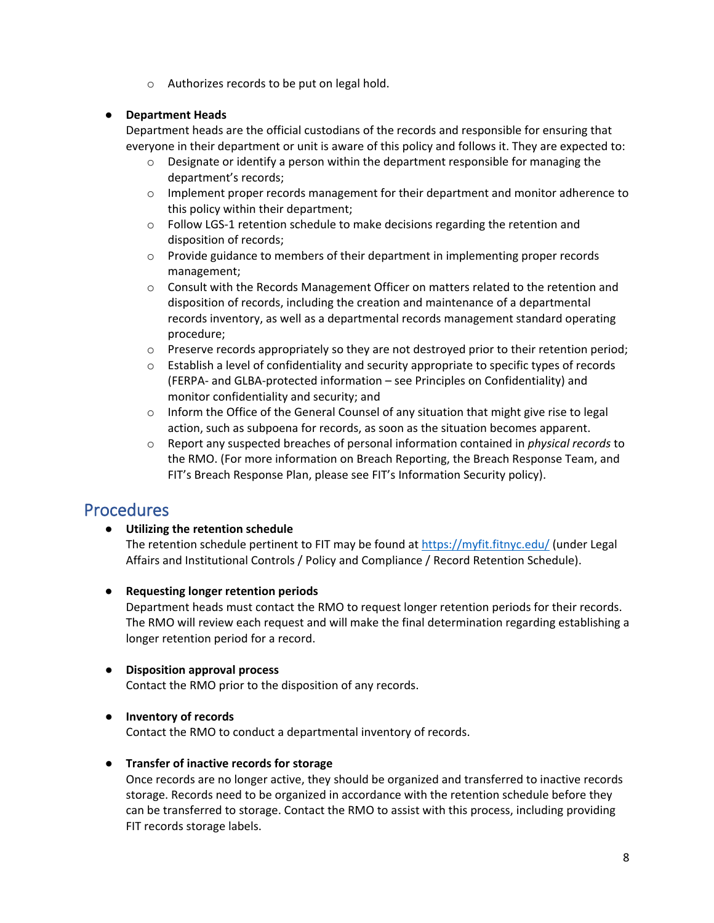o Authorizes records to be put on legal hold.

### ● **Department Heads**

Department heads are the official custodians of the records and responsible for ensuring that everyone in their department or unit is aware of this policy and follows it. They are expected to:

- $\circ$  Designate or identify a person within the department responsible for managing the department's records;
- o Implement proper records management for their department and monitor adherence to this policy within their department;
- o Follow LGS-1 retention schedule to make decisions regarding the retention and disposition of records;
- o Provide guidance to members of their department in implementing proper records management;
- o Consult with the Records Management Officer on matters related to the retention and disposition of records, including the creation and maintenance of a departmental records inventory, as well as a departmental records management standard operating procedure;
- $\circ$  Preserve records appropriately so they are not destroyed prior to their retention period;
- $\circ$  Establish a level of confidentiality and security appropriate to specific types of records (FERPA- and GLBA-protected information – see Principles on Confidentiality) and monitor confidentiality and security; and
- $\circ$  Inform the Office of the General Counsel of any situation that might give rise to legal action, such as subpoena for records, as soon as the situation becomes apparent.
- o Report any suspected breaches of personal information contained in *physical records* to the RMO. (For more information on Breach Reporting, the Breach Response Team, and FIT's Breach Response Plan, please see FIT's Information Security policy).

# Procedures

● **Utilizing the retention schedule**

The retention schedule pertinent to FIT may be found a[t https://myfit.fitnyc.edu/](https://myfit.fitnyc.edu/) (under Legal Affairs and Institutional Controls / Policy and Compliance / Record Retention Schedule).

● **Requesting longer retention periods**

Department heads must contact the RMO to request longer retention periods for their records. The RMO will review each request and will make the final determination regarding establishing a longer retention period for a record.

● **Disposition approval process**

Contact the RMO prior to the disposition of any records.

### ● **Inventory of records**

Contact the RMO to conduct a departmental inventory of records.

### ● **Transfer of inactive records for storage**

Once records are no longer active, they should be organized and transferred to inactive records storage. Records need to be organized in accordance with the retention schedule before they can be transferred to storage. Contact the RMO to assist with this process, including providing FIT records storage labels.